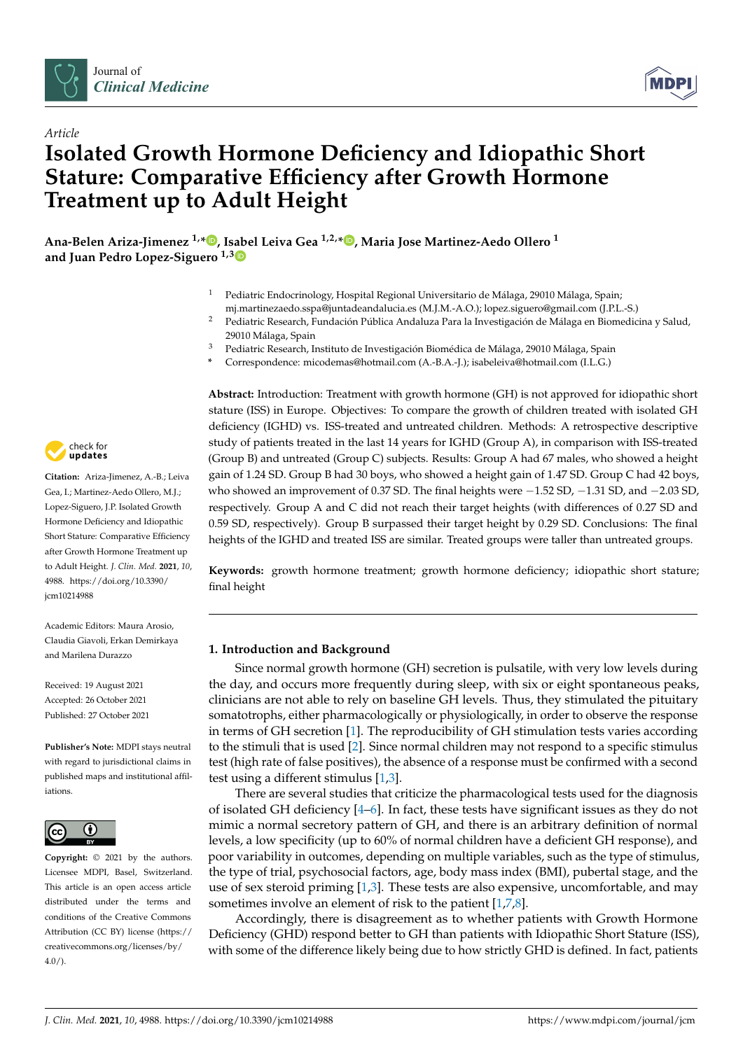

*Article*



# **Isolated Growth Hormone Deficiency and Idiopathic Short Stature: Comparative Efficiency after Growth Hormone Treatment up to Adult Height**

**Ana-Belen Ariza-Jimenez 1,[\\*](https://orcid.org/0000-0002-0585-0886) , Isabel Leiva Gea 1,2,[\\*](https://orcid.org/0000-0002-2259-7253) , Maria Jose Martinez-Aedo Ollero <sup>1</sup> and Juan Pedro Lopez-Siguero 1,[3](https://orcid.org/0000-0001-9282-9139)**

- <sup>1</sup> Pediatric Endocrinology, Hospital Regional Universitario de Málaga, 29010 Málaga, Spain;
- mj.martinezaedo.sspa@juntadeandalucia.es (M.J.M.-A.O.); lopez.siguero@gmail.com (J.P.L.-S.)
- <sup>2</sup> Pediatric Research, Fundación Pública Andaluza Para la Investigación de Málaga en Biomedicina y Salud, 29010 Málaga, Spain
- <sup>3</sup> Pediatric Research, Instituto de Investigación Biomédica de Málaga, 29010 Málaga, Spain
- **\*** Correspondence: micodemas@hotmail.com (A.-B.A.-J.); isabeleiva@hotmail.com (I.L.G.)

check for **-**

**Citation:** Ariza-Jimenez, A.-B.; Leiva Gea, I.; Martinez-Aedo Ollero, M.J.; Lopez-Siguero, J.P. Isolated Growth Hormone Deficiency and Idiopathic Short Stature: Comparative Efficiency after Growth Hormone Treatment up to Adult Height. *J. Clin. Med.* **2021**, *10*, 4988. [https://doi.org/10.3390/](https://doi.org/10.3390/jcm10214988) [jcm10214988](https://doi.org/10.3390/jcm10214988)

Academic Editors: Maura Arosio, Claudia Giavoli, Erkan Demirkaya and Marilena Durazzo

Received: 19 August 2021 Accepted: 26 October 2021 Published: 27 October 2021

**Publisher's Note:** MDPI stays neutral with regard to jurisdictional claims in published maps and institutional affiliations.



**Copyright:** © 2021 by the authors. Licensee MDPI, Basel, Switzerland. This article is an open access article distributed under the terms and conditions of the Creative Commons Attribution (CC BY) license (https:/[/](https://creativecommons.org/licenses/by/4.0/) [creativecommons.org/licenses/by/](https://creativecommons.org/licenses/by/4.0/)  $4.0/$ ).

**Abstract:** Introduction: Treatment with growth hormone (GH) is not approved for idiopathic short stature (ISS) in Europe. Objectives: To compare the growth of children treated with isolated GH deficiency (IGHD) vs. ISS-treated and untreated children. Methods: A retrospective descriptive study of patients treated in the last 14 years for IGHD (Group A), in comparison with ISS-treated (Group B) and untreated (Group C) subjects. Results: Group A had 67 males, who showed a height gain of 1.24 SD. Group B had 30 boys, who showed a height gain of 1.47 SD. Group C had 42 boys, who showed an improvement of 0.37 SD. The final heights were  $-1.52$  SD,  $-1.31$  SD, and  $-2.03$  SD, respectively. Group A and C did not reach their target heights (with differences of 0.27 SD and 0.59 SD, respectively). Group B surpassed their target height by 0.29 SD. Conclusions: The final heights of the IGHD and treated ISS are similar. Treated groups were taller than untreated groups.

**Keywords:** growth hormone treatment; growth hormone deficiency; idiopathic short stature; final height

## **1. Introduction and Background**

Since normal growth hormone (GH) secretion is pulsatile, with very low levels during the day, and occurs more frequently during sleep, with six or eight spontaneous peaks, clinicians are not able to rely on baseline GH levels. Thus, they stimulated the pituitary somatotrophs, either pharmacologically or physiologically, in order to observe the response in terms of GH secretion [\[1\]](#page-8-0). The reproducibility of GH stimulation tests varies according to the stimuli that is used [\[2\]](#page-8-1). Since normal children may not respond to a specific stimulus test (high rate of false positives), the absence of a response must be confirmed with a second test using a different stimulus [\[1,](#page-8-0)[3\]](#page-8-2).

There are several studies that criticize the pharmacological tests used for the diagnosis of isolated GH deficiency [\[4–](#page-8-3)[6\]](#page-8-4). In fact, these tests have significant issues as they do not mimic a normal secretory pattern of GH, and there is an arbitrary definition of normal levels, a low specificity (up to 60% of normal children have a deficient GH response), and poor variability in outcomes, depending on multiple variables, such as the type of stimulus, the type of trial, psychosocial factors, age, body mass index (BMI), pubertal stage, and the use of sex steroid priming [\[1,](#page-8-0)[3\]](#page-8-2). These tests are also expensive, uncomfortable, and may sometimes involve an element of risk to the patient [\[1](#page-8-0)[,7](#page-8-5)[,8\]](#page-8-6).

Accordingly, there is disagreement as to whether patients with Growth Hormone Deficiency (GHD) respond better to GH than patients with Idiopathic Short Stature (ISS), with some of the difference likely being due to how strictly GHD is defined. In fact, patients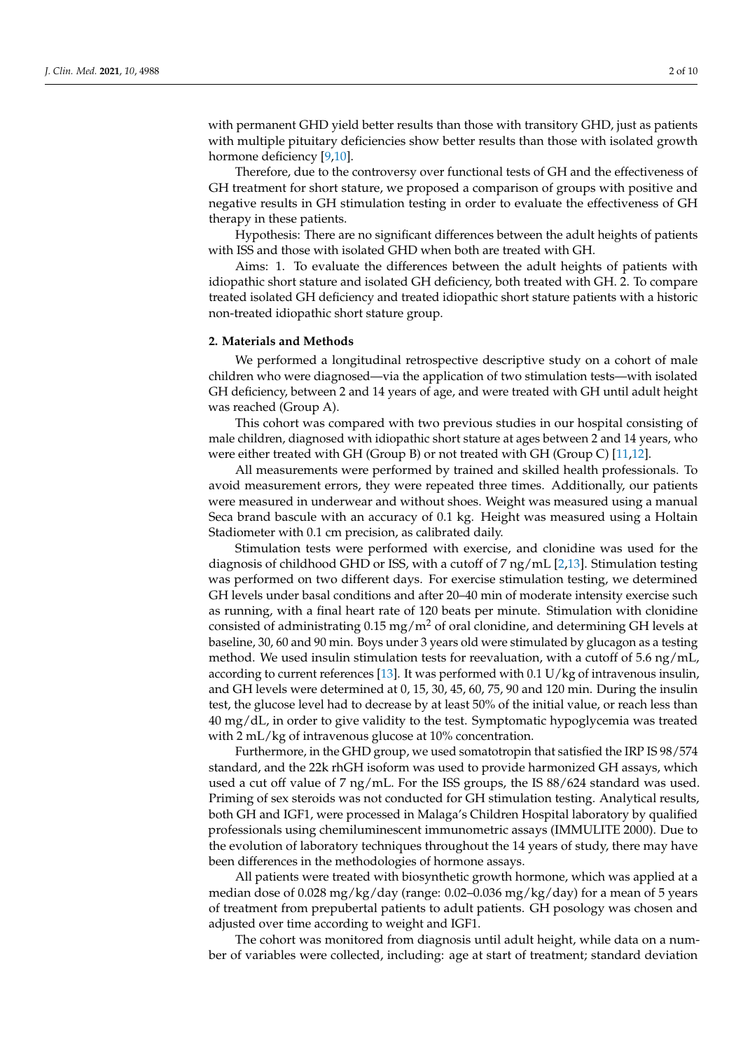with permanent GHD yield better results than those with transitory GHD, just as patients with multiple pituitary deficiencies show better results than those with isolated growth hormone deficiency [\[9](#page-8-7)[,10\]](#page-8-8).

Therefore, due to the controversy over functional tests of GH and the effectiveness of GH treatment for short stature, we proposed a comparison of groups with positive and negative results in GH stimulation testing in order to evaluate the effectiveness of GH therapy in these patients.

Hypothesis: There are no significant differences between the adult heights of patients with ISS and those with isolated GHD when both are treated with GH.

Aims: 1. To evaluate the differences between the adult heights of patients with idiopathic short stature and isolated GH deficiency, both treated with GH. 2. To compare treated isolated GH deficiency and treated idiopathic short stature patients with a historic non-treated idiopathic short stature group.

#### **2. Materials and Methods**

We performed a longitudinal retrospective descriptive study on a cohort of male children who were diagnosed—via the application of two stimulation tests—with isolated GH deficiency, between 2 and 14 years of age, and were treated with GH until adult height was reached (Group A).

This cohort was compared with two previous studies in our hospital consisting of male children, diagnosed with idiopathic short stature at ages between 2 and 14 years, who were either treated with GH (Group B) or not treated with GH (Group C) [\[11](#page-8-9)[,12\]](#page-8-10).

All measurements were performed by trained and skilled health professionals. To avoid measurement errors, they were repeated three times. Additionally, our patients were measured in underwear and without shoes. Weight was measured using a manual Seca brand bascule with an accuracy of 0.1 kg. Height was measured using a Holtain Stadiometer with 0.1 cm precision, as calibrated daily.

Stimulation tests were performed with exercise, and clonidine was used for the diagnosis of childhood GHD or ISS, with a cutoff of 7 ng/mL [\[2](#page-8-1)[,13\]](#page-8-11). Stimulation testing was performed on two different days. For exercise stimulation testing, we determined GH levels under basal conditions and after 20–40 min of moderate intensity exercise such as running, with a final heart rate of 120 beats per minute. Stimulation with clonidine consisted of administrating  $0.15 \text{ mg/m}^2$  of oral clonidine, and determining GH levels at baseline, 30, 60 and 90 min. Boys under 3 years old were stimulated by glucagon as a testing method. We used insulin stimulation tests for reevaluation, with a cutoff of 5.6 ng/mL, according to current references [\[13\]](#page-8-11). It was performed with 0.1 U/kg of intravenous insulin, and GH levels were determined at 0, 15, 30, 45, 60, 75, 90 and 120 min. During the insulin test, the glucose level had to decrease by at least 50% of the initial value, or reach less than 40 mg/dL, in order to give validity to the test. Symptomatic hypoglycemia was treated with 2 mL/kg of intravenous glucose at 10% concentration.

Furthermore, in the GHD group, we used somatotropin that satisfied the IRP IS 98/574 standard, and the 22k rhGH isoform was used to provide harmonized GH assays, which used a cut off value of 7 ng/mL. For the ISS groups, the IS 88/624 standard was used. Priming of sex steroids was not conducted for GH stimulation testing. Analytical results, both GH and IGF1, were processed in Malaga's Children Hospital laboratory by qualified professionals using chemiluminescent immunometric assays (IMMULITE 2000). Due to the evolution of laboratory techniques throughout the 14 years of study, there may have been differences in the methodologies of hormone assays.

All patients were treated with biosynthetic growth hormone, which was applied at a median dose of 0.028 mg/kg/day (range: 0.02–0.036 mg/kg/day) for a mean of 5 years of treatment from prepubertal patients to adult patients. GH posology was chosen and adjusted over time according to weight and IGF1.

The cohort was monitored from diagnosis until adult height, while data on a number of variables were collected, including: age at start of treatment; standard deviation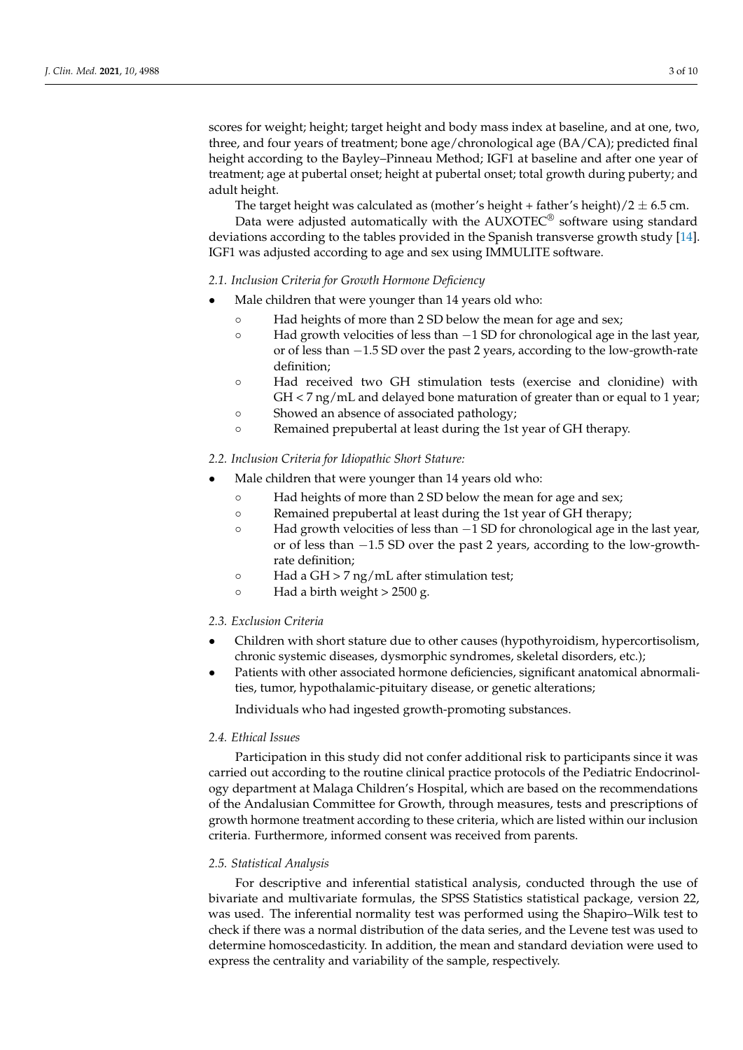scores for weight; height; target height and body mass index at baseline, and at one, two, three, and four years of treatment; bone age/chronological age (BA/CA); predicted final height according to the Bayley–Pinneau Method; IGF1 at baseline and after one year of treatment; age at pubertal onset; height at pubertal onset; total growth during puberty; and adult height.

The target height was calculated as (mother's height + father's height)/2  $\pm$  6.5 cm.

Data were adjusted automatically with the AUXOTEC® software using standard deviations according to the tables provided in the Spanish transverse growth study [\[14\]](#page-8-12). IGF1 was adjusted according to age and sex using IMMULITE software.

## *2.1. Inclusion Criteria for Growth Hormone Deficiency*

- Male children that were younger than 14 years old who:
	- Had heights of more than 2 SD below the mean for age and sex;
	- Had growth velocities of less than −1 SD for chronological age in the last year, or of less than −1.5 SD over the past 2 years, according to the low-growth-rate definition;
	- Had received two GH stimulation tests (exercise and clonidine) with GH < 7 ng/mL and delayed bone maturation of greater than or equal to 1 year;
	- Showed an absence of associated pathology;
	- Remained prepubertal at least during the 1st year of GH therapy.

## *2.2. Inclusion Criteria for Idiopathic Short Stature:*

- Male children that were younger than 14 years old who:
	- Had heights of more than 2 SD below the mean for age and sex;
	- Remained prepubertal at least during the 1st year of GH therapy;
	- Had growth velocities of less than −1 SD for chronological age in the last year, or of less than −1.5 SD over the past 2 years, according to the low-growthrate definition;
	- Had a GH > 7 ng/mL after stimulation test;
	- Had a birth weight > 2500 g.

### *2.3. Exclusion Criteria*

- Children with short stature due to other causes (hypothyroidism, hypercortisolism, chronic systemic diseases, dysmorphic syndromes, skeletal disorders, etc.);
- Patients with other associated hormone deficiencies, significant anatomical abnormalities, tumor, hypothalamic-pituitary disease, or genetic alterations;

Individuals who had ingested growth-promoting substances.

### *2.4. Ethical Issues*

Participation in this study did not confer additional risk to participants since it was carried out according to the routine clinical practice protocols of the Pediatric Endocrinology department at Malaga Children's Hospital, which are based on the recommendations of the Andalusian Committee for Growth, through measures, tests and prescriptions of growth hormone treatment according to these criteria, which are listed within our inclusion criteria. Furthermore, informed consent was received from parents.

#### *2.5. Statistical Analysis*

For descriptive and inferential statistical analysis, conducted through the use of bivariate and multivariate formulas, the SPSS Statistics statistical package, version 22, was used. The inferential normality test was performed using the Shapiro–Wilk test to check if there was a normal distribution of the data series, and the Levene test was used to determine homoscedasticity. In addition, the mean and standard deviation were used to express the centrality and variability of the sample, respectively.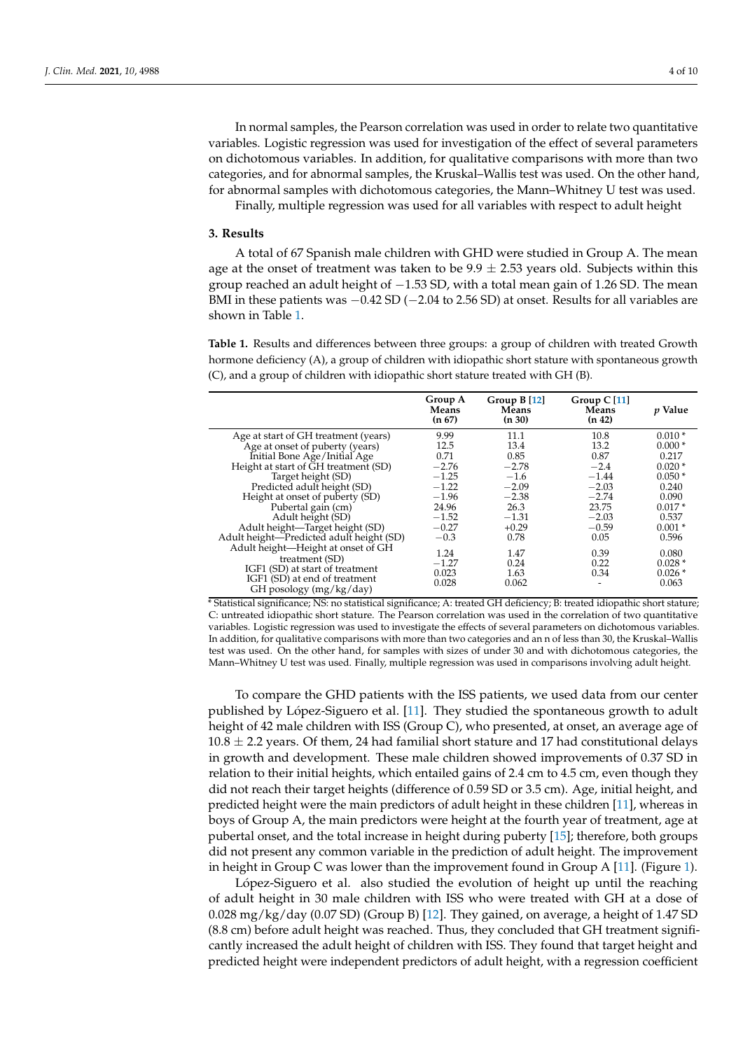In normal samples, the Pearson correlation was used in order to relate two quantitative variables. Logistic regression was used for investigation of the effect of several parameters on dichotomous variables. In addition, for qualitative comparisons with more than two categories, and for abnormal samples, the Kruskal–Wallis test was used. On the other hand, for abnormal samples with dichotomous categories, the Mann–Whitney U test was used. Finally, multiple regression was used for all variables with respect to adult height

**3. Results**

A total of 67 Spanish male children with GHD were studied in Group A. The mean age at the onset of treatment was taken to be  $9.9 \pm 2.53$  years old. Subjects within this group reached an adult height of −1.53 SD, with a total mean gain of 1.26 SD. The mean BMI in these patients was  $-0.42$  SD ( $-2.04$  to 2.56 SD) at onset. Results for all variables are shown in Table [1.](#page-3-0)

<span id="page-3-0"></span>**Table 1.** Results and differences between three groups: a group of children with treated Growth hormone deficiency (A), a group of children with idiopathic short stature with spontaneous growth (C), and a group of children with idiopathic short stature treated with GH (B).

|                                                            | Group A<br><b>Means</b><br>(n 67) | Group $B[12]$<br>Means<br>(n 30) | Group $C$ [11]<br>Means<br>(n 42) | <i>p</i> Value |
|------------------------------------------------------------|-----------------------------------|----------------------------------|-----------------------------------|----------------|
| Age at start of GH treatment (years)                       | 9.99                              | 11.1                             | 10.8                              | $0.010*$       |
| Age at onset of puberty (years)                            | 12.5                              | 13.4                             | 13.2                              | $0.000*$       |
| Initial Bone Age/Initial Age                               | 0.71                              | 0.85                             | 0.87                              | 0.217          |
| Height at start of GH treatment (SD)                       | $-2.76$                           | $-2.78$                          | $-2.4$                            | $0.020*$       |
| Target height (SD)                                         | $-1.25$                           | $-1.6$                           | $-1.44$                           | $0.050*$       |
| Predicted adult height (SD)                                | $-1.22$                           | $-2.09$                          | $-2.03$                           | 0.240          |
| Height at onset of puberty (SD)                            | $-1.96$                           | $-2.38$                          | $-2.74$                           | 0.090          |
| Pubertal gain (cm)                                         | 24.96                             | 26.3                             | 23.75                             | $0.017*$       |
| Adult height (SD)                                          | $-1.52$                           | $-1.31$                          | $-2.03$                           | 0.537          |
| Adult height-Target height (SD)                            | $-0.27$                           | $+0.29$                          | $-0.59$                           | $0.001*$       |
| Adult height—Predicted adult height (SD)                   | $-0.3$                            | 0.78                             | 0.05                              | 0.596          |
| Adult height-Height at onset of GH                         | 1.24                              | 1.47                             | 0.39                              | 0.080          |
| treatment (SD)                                             | $-1.27$                           | 0.24                             | 0.22                              | $0.028*$       |
| IGF1 (SD) at start of treatment                            | 0.023                             | 1.63                             | 0.34                              | $0.026*$       |
| IGF1 (SD) at end of treatment<br>GH posology $(mg/kg/day)$ | 0.028                             | 0.062                            |                                   | 0.063          |

\* Statistical significance; NS: no statistical significance; A: treated GH deficiency; B: treated idiopathic short stature; C: untreated idiopathic short stature. The Pearson correlation was used in the correlation of two quantitative variables. Logistic regression was used to investigate the effects of several parameters on dichotomous variables. In addition, for qualitative comparisons with more than two categories and an n of less than 30, the Kruskal–Wallis test was used. On the other hand, for samples with sizes of under 30 and with dichotomous categories, the Mann–Whitney U test was used. Finally, multiple regression was used in comparisons involving adult height.

To compare the GHD patients with the ISS patients, we used data from our center published by López-Siguero et al. [\[11\]](#page-8-9). They studied the spontaneous growth to adult height of 42 male children with ISS (Group C), who presented, at onset, an average age of  $10.8 \pm 2.2$  years. Of them, 24 had familial short stature and 17 had constitutional delays in growth and development. These male children showed improvements of 0.37 SD in relation to their initial heights, which entailed gains of 2.4 cm to 4.5 cm, even though they did not reach their target heights (difference of 0.59 SD or 3.5 cm). Age, initial height, and predicted height were the main predictors of adult height in these children [\[11\]](#page-8-9), whereas in boys of Group A, the main predictors were height at the fourth year of treatment, age at pubertal onset, and the total increase in height during puberty [\[15\]](#page-8-13); therefore, both groups did not present any common variable in the prediction of adult height. The improvement in height in Group C was lower than the improvement found in Group A [\[11\]](#page-8-9). (Figure [1\)](#page-4-0).

López-Siguero et al. also studied the evolution of height up until the reaching of adult height in 30 male children with ISS who were treated with GH at a dose of 0.028 mg/kg/day (0.07 SD) (Group B) [\[12\]](#page-8-10). They gained, on average, a height of 1.47 SD (8.8 cm) before adult height was reached. Thus, they concluded that GH treatment significantly increased the adult height of children with ISS. They found that target height and predicted height were independent predictors of adult height, with a regression coefficient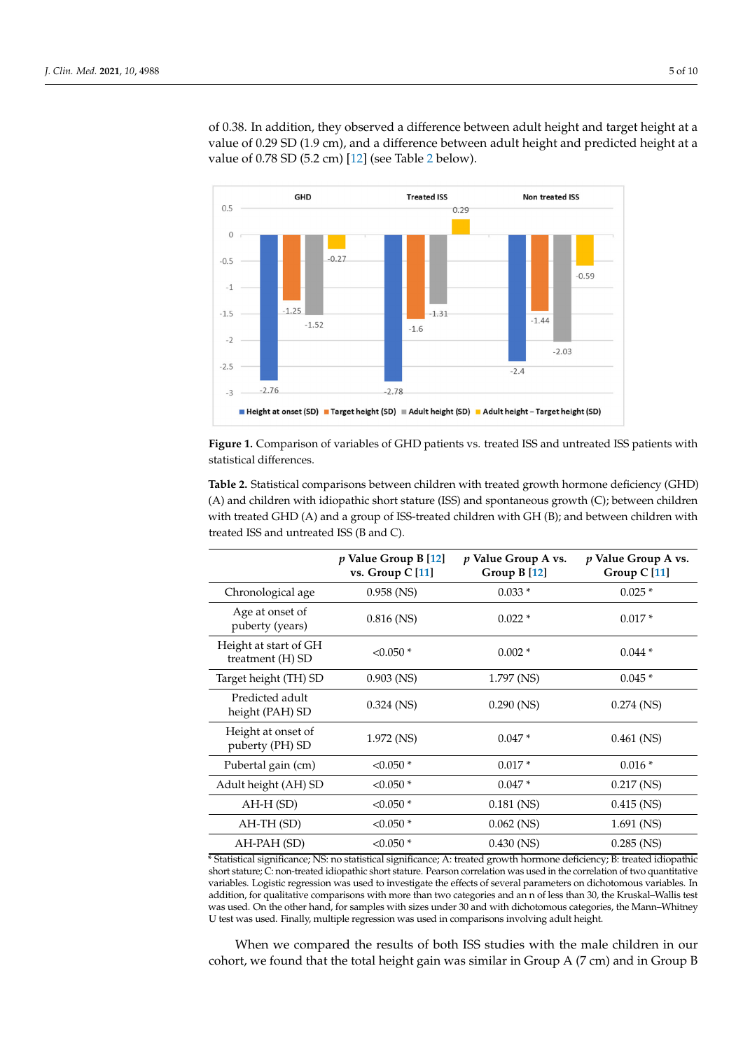of 0.38. In addition, they observed a difference between adult height and target height at a value of 0.29 SD (1.9 cm), and a difference between adult height and predicted height at a value of 0.78 SD (5.2 cm) [\[12\]](#page-8-10) (see Table [2](#page-4-1) below).

<span id="page-4-0"></span>

**Figure 1.** Comparison of variables of GHD patients vs. treated ISS and untreated ISS patients with statistical differences.

<span id="page-4-1"></span>**Table 2.** Statistical comparisons between children with treated growth hormone deficiency (GHD) (A) and children with idiopathic short stature (ISS) and spontaneous growth (C); between children with treated GHD (A) and a group of ISS-treated children with GH (B); and between children with treated ISS and untreated ISS (B and C).

|                                           | $p$ Value Group B [12]<br>vs. Group C [11] | p Value Group A vs.<br>Group B [12] | p Value Group A vs.<br>Group C <sup>[11]</sup> |
|-------------------------------------------|--------------------------------------------|-------------------------------------|------------------------------------------------|
| Chronological age                         | $0.958$ (NS)                               | $0.033*$                            | $0.025*$                                       |
| Age at onset of<br>puberty (years)        | $0.816$ (NS)                               | $0.022*$                            | $0.017*$                                       |
| Height at start of GH<br>treatment (H) SD | $< 0.050$ *                                | $0.002*$                            | $0.044*$                                       |
| Target height (TH) SD                     | $0.903$ (NS)                               | 1.797 (NS)                          | $0.045*$                                       |
| Predicted adult<br>height (PAH) SD        | $0.324$ (NS)                               | $0.290$ (NS)                        | $0.274$ (NS)                                   |
| Height at onset of<br>puberty (PH) SD     | 1.972 (NS)                                 | $0.047*$                            | $0.461$ (NS)                                   |
| Pubertal gain (cm)                        | $< 0.050$ *                                | $0.017*$                            | $0.016*$                                       |
| Adult height (AH) SD                      | $< 0.050*$                                 | $0.047*$                            | $0.217$ (NS)                                   |
| AH-H (SD)                                 | $< 0.050*$                                 | $0.181$ (NS)                        | $0.415$ (NS)                                   |
| AH-TH (SD)                                | $< 0.050*$                                 | $0.062$ (NS)                        | $1.691$ (NS)                                   |
| AH-PAH (SD)                               | $< 0.050$ *                                | $0.430$ (NS)                        | $0.285$ (NS)                                   |

\* Statistical significance; NS: no statistical significance; A: treated growth hormone deficiency; B: treated idiopathic short stature; C: non-treated idiopathic short stature. Pearson correlation was used in the correlation of two quantitative variables. Logistic regression was used to investigate the effects of several parameters on dichotomous variables. In addition, for qualitative comparisons with more than two categories and an n of less than 30, the Kruskal–Wallis test was used. On the other hand, for samples with sizes under 30 and with dichotomous categories, the Mann–Whitney U test was used. Finally, multiple regression was used in comparisons involving adult height.

When we compared the results of both ISS studies with the male children in our cohort, we found that the total height gain was similar in Group A (7 cm) and in Group B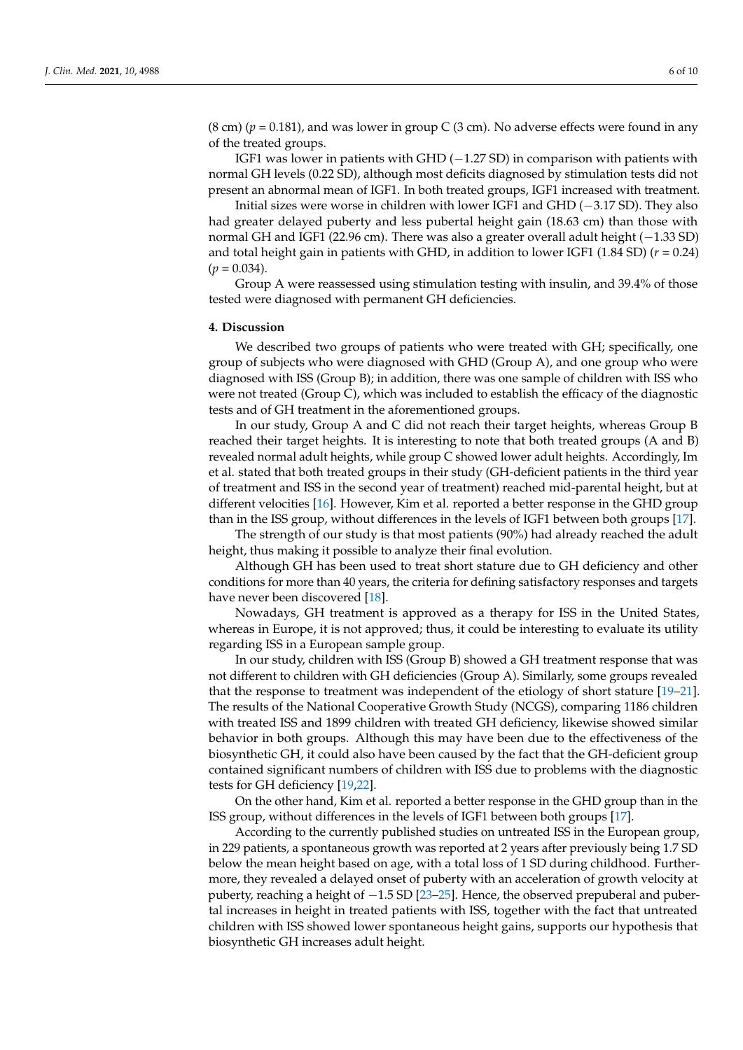$(8 \text{ cm}) (p = 0.181)$ , and was lower in group C  $(3 \text{ cm})$ . No adverse effects were found in any of the treated groups.

IGF1 was lower in patients with GHD  $(-1.27 S_D)$  in comparison with patients with normal GH levels (0.22 SD), although most deficits diagnosed by stimulation tests did not present an abnormal mean of IGF1. In both treated groups, IGF1 increased with treatment.

Initial sizes were worse in children with lower IGF1 and GHD (−3.17 SD). They also had greater delayed puberty and less pubertal height gain (18.63 cm) than those with normal GH and IGF1 (22.96 cm). There was also a greater overall adult height (−1.33 SD) and total height gain in patients with GHD, in addition to lower IGF1 (1.84 SD) (*r* = 0.24)  $(p = 0.034)$ .

Group A were reassessed using stimulation testing with insulin, and 39.4% of those tested were diagnosed with permanent GH deficiencies.

#### **4. Discussion**

We described two groups of patients who were treated with GH; specifically, one group of subjects who were diagnosed with GHD (Group A), and one group who were diagnosed with ISS (Group B); in addition, there was one sample of children with ISS who were not treated (Group C), which was included to establish the efficacy of the diagnostic tests and of GH treatment in the aforementioned groups.

In our study, Group A and C did not reach their target heights, whereas Group B reached their target heights. It is interesting to note that both treated groups (A and B) revealed normal adult heights, while group C showed lower adult heights. Accordingly, Im et al. stated that both treated groups in their study (GH-deficient patients in the third year of treatment and ISS in the second year of treatment) reached mid-parental height, but at different velocities [\[16\]](#page-8-14). However, Kim et al. reported a better response in the GHD group than in the ISS group, without differences in the levels of IGF1 between both groups [\[17\]](#page-8-15).

The strength of our study is that most patients (90%) had already reached the adult height, thus making it possible to analyze their final evolution.

Although GH has been used to treat short stature due to GH deficiency and other conditions for more than 40 years, the criteria for defining satisfactory responses and targets have never been discovered [\[18\]](#page-8-16).

Nowadays, GH treatment is approved as a therapy for ISS in the United States, whereas in Europe, it is not approved; thus, it could be interesting to evaluate its utility regarding ISS in a European sample group.

In our study, children with ISS (Group B) showed a GH treatment response that was not different to children with GH deficiencies (Group A). Similarly, some groups revealed that the response to treatment was independent of the etiology of short stature [\[19](#page-8-17)[–21\]](#page-8-18). The results of the National Cooperative Growth Study (NCGS), comparing 1186 children with treated ISS and 1899 children with treated GH deficiency, likewise showed similar behavior in both groups. Although this may have been due to the effectiveness of the biosynthetic GH, it could also have been caused by the fact that the GH-deficient group contained significant numbers of children with ISS due to problems with the diagnostic tests for GH deficiency [\[19,](#page-8-17)[22\]](#page-8-19).

On the other hand, Kim et al. reported a better response in the GHD group than in the ISS group, without differences in the levels of IGF1 between both groups [\[17\]](#page-8-15).

According to the currently published studies on untreated ISS in the European group, in 229 patients, a spontaneous growth was reported at 2 years after previously being 1.7 SD below the mean height based on age, with a total loss of 1 SD during childhood. Furthermore, they revealed a delayed onset of puberty with an acceleration of growth velocity at puberty, reaching a height of  $-1.5$  SD [\[23](#page-8-20)[–25\]](#page-8-21). Hence, the observed prepuberal and pubertal increases in height in treated patients with ISS, together with the fact that untreated children with ISS showed lower spontaneous height gains, supports our hypothesis that biosynthetic GH increases adult height.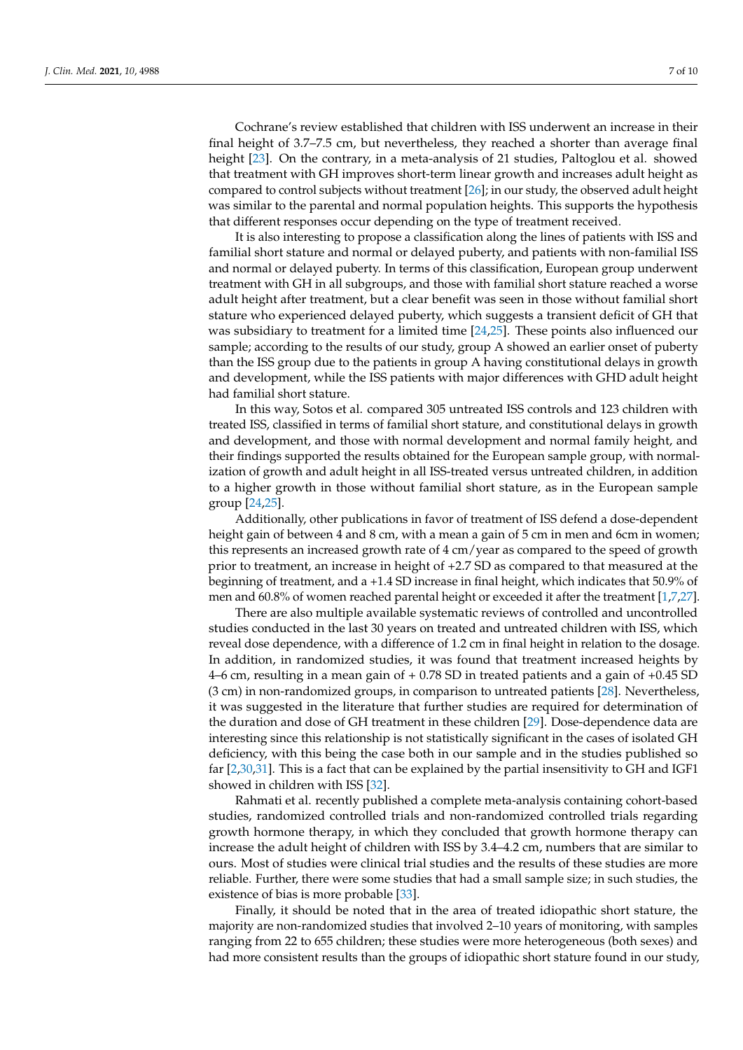Cochrane's review established that children with ISS underwent an increase in their final height of 3.7–7.5 cm, but nevertheless, they reached a shorter than average final height [\[23\]](#page-8-20). On the contrary, in a meta-analysis of 21 studies, Paltoglou et al. showed that treatment with GH improves short-term linear growth and increases adult height as compared to control subjects without treatment [\[26\]](#page-9-0); in our study, the observed adult height was similar to the parental and normal population heights. This supports the hypothesis that different responses occur depending on the type of treatment received.

It is also interesting to propose a classification along the lines of patients with ISS and familial short stature and normal or delayed puberty, and patients with non-familial ISS and normal or delayed puberty. In terms of this classification, European group underwent treatment with GH in all subgroups, and those with familial short stature reached a worse adult height after treatment, but a clear benefit was seen in those without familial short stature who experienced delayed puberty, which suggests a transient deficit of GH that was subsidiary to treatment for a limited time [\[24](#page-8-22)[,25\]](#page-8-21). These points also influenced our sample; according to the results of our study, group A showed an earlier onset of puberty than the ISS group due to the patients in group A having constitutional delays in growth and development, while the ISS patients with major differences with GHD adult height had familial short stature.

In this way, Sotos et al. compared 305 untreated ISS controls and 123 children with treated ISS, classified in terms of familial short stature, and constitutional delays in growth and development, and those with normal development and normal family height, and their findings supported the results obtained for the European sample group, with normalization of growth and adult height in all ISS-treated versus untreated children, in addition to a higher growth in those without familial short stature, as in the European sample group [\[24](#page-8-22)[,25\]](#page-8-21).

Additionally, other publications in favor of treatment of ISS defend a dose-dependent height gain of between 4 and 8 cm, with a mean a gain of 5 cm in men and 6cm in women; this represents an increased growth rate of 4 cm/year as compared to the speed of growth prior to treatment, an increase in height of +2.7 SD as compared to that measured at the beginning of treatment, and a +1.4 SD increase in final height, which indicates that 50.9% of men and 60.8% of women reached parental height or exceeded it after the treatment [\[1](#page-8-0)[,7](#page-8-5)[,27\]](#page-9-1).

There are also multiple available systematic reviews of controlled and uncontrolled studies conducted in the last 30 years on treated and untreated children with ISS, which reveal dose dependence, with a difference of 1.2 cm in final height in relation to the dosage. In addition, in randomized studies, it was found that treatment increased heights by 4–6 cm, resulting in a mean gain of + 0.78 SD in treated patients and a gain of +0.45 SD (3 cm) in non-randomized groups, in comparison to untreated patients [\[28\]](#page-9-2). Nevertheless, it was suggested in the literature that further studies are required for determination of the duration and dose of GH treatment in these children [\[29\]](#page-9-3). Dose-dependence data are interesting since this relationship is not statistically significant in the cases of isolated GH deficiency, with this being the case both in our sample and in the studies published so far [\[2](#page-8-1)[,30](#page-9-4)[,31\]](#page-9-5). This is a fact that can be explained by the partial insensitivity to GH and IGF1 showed in children with ISS [\[32\]](#page-9-6).

Rahmati et al. recently published a complete meta-analysis containing cohort-based studies, randomized controlled trials and non-randomized controlled trials regarding growth hormone therapy, in which they concluded that growth hormone therapy can increase the adult height of children with ISS by 3.4–4.2 cm, numbers that are similar to ours. Most of studies were clinical trial studies and the results of these studies are more reliable. Further, there were some studies that had a small sample size; in such studies, the existence of bias is more probable [\[33\]](#page-9-7).

Finally, it should be noted that in the area of treated idiopathic short stature, the majority are non-randomized studies that involved 2–10 years of monitoring, with samples ranging from 22 to 655 children; these studies were more heterogeneous (both sexes) and had more consistent results than the groups of idiopathic short stature found in our study,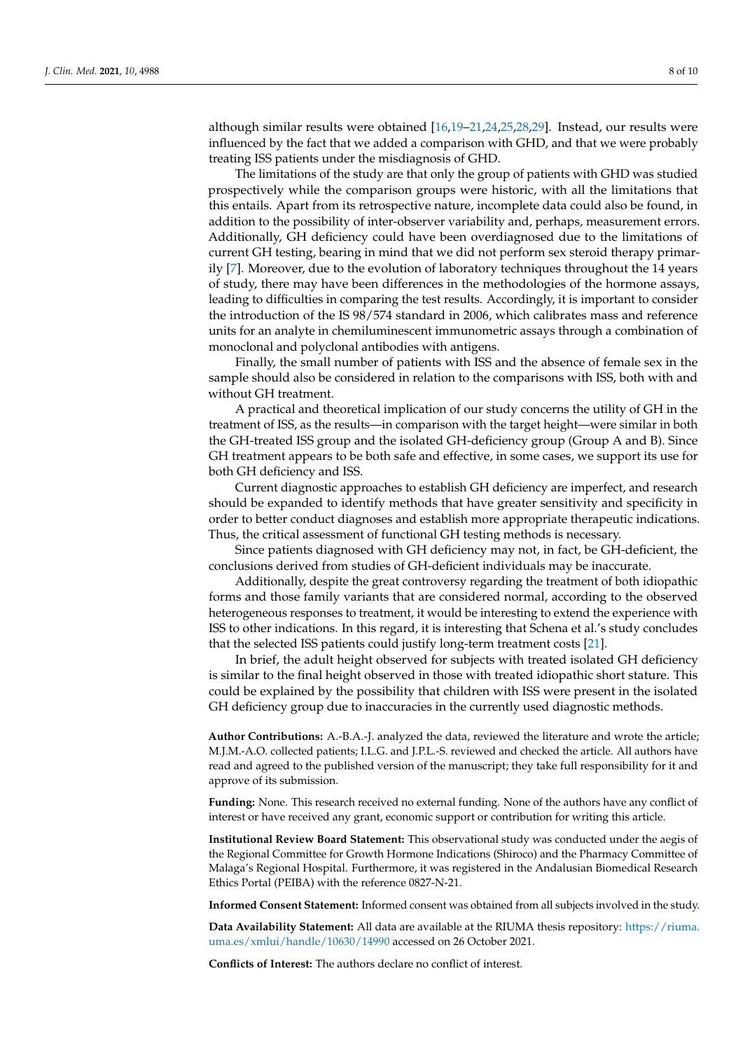although similar results were obtained [\[16](#page-8-14)[,19](#page-8-17)[–21](#page-8-18)[,24](#page-8-22)[,25](#page-8-21)[,28](#page-9-2)[,29\]](#page-9-3). Instead, our results were influenced by the fact that we added a comparison with GHD, and that we were probably treating ISS patients under the misdiagnosis of GHD.

The limitations of the study are that only the group of patients with GHD was studied prospectively while the comparison groups were historic, with all the limitations that this entails. Apart from its retrospective nature, incomplete data could also be found, in addition to the possibility of inter-observer variability and, perhaps, measurement errors. Additionally, GH deficiency could have been overdiagnosed due to the limitations of current GH testing, bearing in mind that we did not perform sex steroid therapy primarily [\[7\]](#page-8-5). Moreover, due to the evolution of laboratory techniques throughout the 14 years of study, there may have been differences in the methodologies of the hormone assays, leading to difficulties in comparing the test results. Accordingly, it is important to consider the introduction of the IS 98/574 standard in 2006, which calibrates mass and reference units for an analyte in chemiluminescent immunometric assays through a combination of monoclonal and polyclonal antibodies with antigens.

Finally, the small number of patients with ISS and the absence of female sex in the sample should also be considered in relation to the comparisons with ISS, both with and without GH treatment.

A practical and theoretical implication of our study concerns the utility of GH in the treatment of ISS, as the results—in comparison with the target height—were similar in both the GH-treated ISS group and the isolated GH-deficiency group (Group A and B). Since GH treatment appears to be both safe and effective, in some cases, we support its use for both GH deficiency and ISS.

Current diagnostic approaches to establish GH deficiency are imperfect, and research should be expanded to identify methods that have greater sensitivity and specificity in order to better conduct diagnoses and establish more appropriate therapeutic indications. Thus, the critical assessment of functional GH testing methods is necessary.

Since patients diagnosed with GH deficiency may not, in fact, be GH-deficient, the conclusions derived from studies of GH-deficient individuals may be inaccurate.

Additionally, despite the great controversy regarding the treatment of both idiopathic forms and those family variants that are considered normal, according to the observed heterogeneous responses to treatment, it would be interesting to extend the experience with ISS to other indications. In this regard, it is interesting that Schena et al.'s study concludes that the selected ISS patients could justify long-term treatment costs [\[21\]](#page-8-18).

In brief, the adult height observed for subjects with treated isolated GH deficiency is similar to the final height observed in those with treated idiopathic short stature. This could be explained by the possibility that children with ISS were present in the isolated GH deficiency group due to inaccuracies in the currently used diagnostic methods.

**Author Contributions:** A.-B.A.-J. analyzed the data, reviewed the literature and wrote the article; M.J.M.-A.O. collected patients; I.L.G. and J.P.L.-S. reviewed and checked the article. All authors have read and agreed to the published version of the manuscript; they take full responsibility for it and approve of its submission.

**Funding:** None. This research received no external funding. None of the authors have any conflict of interest or have received any grant, economic support or contribution for writing this article.

**Institutional Review Board Statement:** This observational study was conducted under the aegis of the Regional Committee for Growth Hormone Indications (Shiroco) and the Pharmacy Committee of Malaga's Regional Hospital. Furthermore, it was registered in the Andalusian Biomedical Research Ethics Portal (PEIBA) with the reference 0827-N-21.

**Informed Consent Statement:** Informed consent was obtained from all subjects involved in the study.

**Data Availability Statement:** All data are available at the RIUMA thesis repository: [https://riuma.](https://riuma.uma.es/xmlui/handle/10630/14990) [uma.es/xmlui/handle/10630/14990](https://riuma.uma.es/xmlui/handle/10630/14990) accessed on 26 October 2021.

**Conflicts of Interest:** The authors declare no conflict of interest.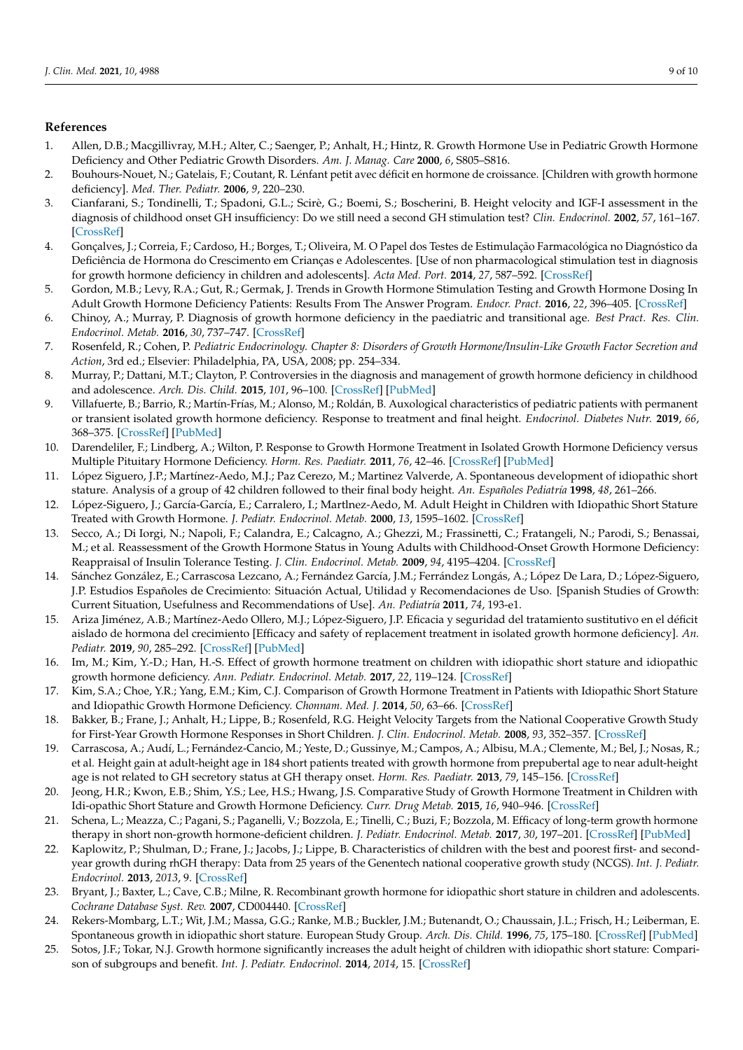## **References**

- <span id="page-8-0"></span>1. Allen, D.B.; Macgillivray, M.H.; Alter, C.; Saenger, P.; Anhalt, H.; Hintz, R. Growth Hormone Use in Pediatric Growth Hormone Deficiency and Other Pediatric Growth Disorders. *Am. J. Manag. Care* **2000**, *6*, S805–S816.
- <span id="page-8-1"></span>2. Bouhours-Nouet, N.; Gatelais, F.; Coutant, R. Lénfant petit avec déficit en hormone de croissance. [Children with growth hormone deficiency]. *Med. Ther. Pediatr.* **2006**, *9*, 220–230.
- <span id="page-8-2"></span>3. Cianfarani, S.; Tondinelli, T.; Spadoni, G.L.; Scirè, G.; Boemi, S.; Boscherini, B. Height velocity and IGF-I assessment in the diagnosis of childhood onset GH insufficiency: Do we still need a second GH stimulation test? *Clin. Endocrinol.* **2002**, *57*, 161–167. [\[CrossRef\]](http://doi.org/10.1046/j.1365-2265.2002.01591.x)
- <span id="page-8-3"></span>4. Gonçalves, J.; Correia, F.; Cardoso, H.; Borges, T.; Oliveira, M. O Papel dos Testes de Estimulação Farmacológica no Diagnóstico da Deficiência de Hormona do Crescimento em Crianças e Adolescentes. [Use of non pharmacological stimulation test in diagnosis for growth hormone deficiency in children and adolescents]. *Acta Med. Port.* **2014**, *27*, 587–592. [\[CrossRef\]](http://doi.org/10.20344/amp.4878)
- 5. Gordon, M.B.; Levy, R.A.; Gut, R.; Germak, J. Trends in Growth Hormone Stimulation Testing and Growth Hormone Dosing In Adult Growth Hormone Deficiency Patients: Results From The Answer Program. *Endocr. Pract.* **2016**, *22*, 396–405. [\[CrossRef\]](http://doi.org/10.4158/EP14603.OR)
- <span id="page-8-4"></span>6. Chinoy, A.; Murray, P. Diagnosis of growth hormone deficiency in the paediatric and transitional age. *Best Pract. Res. Clin. Endocrinol. Metab.* **2016**, *30*, 737–747. [\[CrossRef\]](http://doi.org/10.1016/j.beem.2016.11.002)
- <span id="page-8-5"></span>7. Rosenfeld, R.; Cohen, P. *Pediatric Endocrinology. Chapter 8: Disorders of Growth Hormone/Insulin-Like Growth Factor Secretion and Action*, 3rd ed.; Elsevier: Philadelphia, PA, USA, 2008; pp. 254–334.
- <span id="page-8-6"></span>8. Murray, P.; Dattani, M.T.; Clayton, P. Controversies in the diagnosis and management of growth hormone deficiency in childhood and adolescence. *Arch. Dis. Child.* **2015**, *101*, 96–100. [\[CrossRef\]](http://doi.org/10.1136/archdischild-2014-307228) [\[PubMed\]](http://www.ncbi.nlm.nih.gov/pubmed/26153506)
- <span id="page-8-7"></span>9. Villafuerte, B.; Barrio, R.; Martín-Frías, M.; Alonso, M.; Roldán, B. Auxological characteristics of pediatric patients with permanent or transient isolated growth hormone deficiency. Response to treatment and final height. *Endocrinol. Diabetes Nutr.* **2019**, *66*, 368–375. [\[CrossRef\]](http://doi.org/10.1016/j.endinu.2018.11.007) [\[PubMed\]](http://www.ncbi.nlm.nih.gov/pubmed/30772372)
- <span id="page-8-8"></span>10. Darendeliler, F.; Lindberg, A.; Wilton, P. Response to Growth Hormone Treatment in Isolated Growth Hormone Deficiency versus Multiple Pituitary Hormone Deficiency. *Horm. Res. Paediatr.* **2011**, *76*, 42–46. [\[CrossRef\]](http://doi.org/10.1159/000329161) [\[PubMed\]](http://www.ncbi.nlm.nih.gov/pubmed/21778748)
- <span id="page-8-9"></span>11. López Siguero, J.P.; Martínez-Aedo, M.J.; Paz Cerezo, M.; Martinez Valverde, A. Spontaneous development of idiopathic short stature. Analysis of a group of 42 children followed to their final body height. *An. Españoles Pediatría* **1998**, *48*, 261–266.
- <span id="page-8-10"></span>12. López-Siguero, J.; García-García, E.; Carralero, I.; Martlnez-Aedo, M. Adult Height in Children with Idiopathic Short Stature Treated with Growth Hormone. *J. Pediatr. Endocrinol. Metab.* **2000**, *13*, 1595–1602. [\[CrossRef\]](http://doi.org/10.1515/JPEM.2000.13.9.1595)
- <span id="page-8-11"></span>13. Secco, A.; Di Iorgi, N.; Napoli, F.; Calandra, E.; Calcagno, A.; Ghezzi, M.; Frassinetti, C.; Fratangeli, N.; Parodi, S.; Benassai, M.; et al. Reassessment of the Growth Hormone Status in Young Adults with Childhood-Onset Growth Hormone Deficiency: Reappraisal of Insulin Tolerance Testing. *J. Clin. Endocrinol. Metab.* **2009**, *94*, 4195–4204. [\[CrossRef\]](http://doi.org/10.1210/jc.2009-0602)
- <span id="page-8-12"></span>14. Sánchez González, E.; Carrascosa Lezcano, A.; Fernández García, J.M.; Ferrández Longás, A.; López De Lara, D.; López-Siguero, J.P. Estudios Españoles de Crecimiento: Situación Actual, Utilidad y Recomendaciones de Uso. [Spanish Studies of Growth: Current Situation, Usefulness and Recommendations of Use]. *An. Pediatría* **2011**, *74*, 193-e1.
- <span id="page-8-13"></span>15. Ariza Jiménez, A.B.; Martínez-Aedo Ollero, M.J.; López-Siguero, J.P. Eficacia y seguridad del tratamiento sustitutivo en el déficit aislado de hormona del crecimiento [Efficacy and safety of replacement treatment in isolated growth hormone deficiency]. *An. Pediatr.* **2019**, *90*, 285–292. [\[CrossRef\]](http://doi.org/10.1016/j.anpedi.2018.05.012) [\[PubMed\]](http://www.ncbi.nlm.nih.gov/pubmed/29960877)
- <span id="page-8-14"></span>16. Im, M.; Kim, Y.-D.; Han, H.-S. Effect of growth hormone treatment on children with idiopathic short stature and idiopathic growth hormone deficiency. *Ann. Pediatr. Endocrinol. Metab.* **2017**, *22*, 119–124. [\[CrossRef\]](http://doi.org/10.6065/apem.2017.22.2.119)
- <span id="page-8-15"></span>17. Kim, S.A.; Choe, Y.R.; Yang, E.M.; Kim, C.J. Comparison of Growth Hormone Treatment in Patients with Idiopathic Short Stature and Idiopathic Growth Hormone Deficiency. *Chonnam. Med. J.* **2014**, *50*, 63–66. [\[CrossRef\]](http://doi.org/10.4068/cmj.2014.50.2.63)
- <span id="page-8-16"></span>18. Bakker, B.; Frane, J.; Anhalt, H.; Lippe, B.; Rosenfeld, R.G. Height Velocity Targets from the National Cooperative Growth Study for First-Year Growth Hormone Responses in Short Children. *J. Clin. Endocrinol. Metab.* **2008**, *93*, 352–357. [\[CrossRef\]](http://doi.org/10.1210/jc.2007-1581)
- <span id="page-8-17"></span>19. Carrascosa, A.; Audí, L.; Fernández-Cancio, M.; Yeste, D.; Gussinye, M.; Campos, A.; Albisu, M.A.; Clemente, M.; Bel, J.; Nosas, R.; et al. Height gain at adult-height age in 184 short patients treated with growth hormone from prepubertal age to near adult-height age is not related to GH secretory status at GH therapy onset. *Horm. Res. Paediatr.* **2013**, *79*, 145–156. [\[CrossRef\]](http://doi.org/10.1159/000348540)
- 20. Jeong, H.R.; Kwon, E.B.; Shim, Y.S.; Lee, H.S.; Hwang, J.S. Comparative Study of Growth Hormone Treatment in Children with Idi-opathic Short Stature and Growth Hormone Deficiency. *Curr. Drug Metab.* **2015**, *16*, 940–946. [\[CrossRef\]](http://doi.org/10.2174/1389200216666151015112841)
- <span id="page-8-18"></span>21. Schena, L.; Meazza, C.; Pagani, S.; Paganelli, V.; Bozzola, E.; Tinelli, C.; Buzi, F.; Bozzola, M. Efficacy of long-term growth hormone therapy in short non-growth hormone-deficient children. *J. Pediatr. Endocrinol. Metab.* **2017**, *30*, 197–201. [\[CrossRef\]](http://doi.org/10.1515/jpem-2016-0297) [\[PubMed\]](http://www.ncbi.nlm.nih.gov/pubmed/28099132)
- <span id="page-8-19"></span>22. Kaplowitz, P.; Shulman, D.; Frane, J.; Jacobs, J.; Lippe, B. Characteristics of children with the best and poorest first- and secondyear growth during rhGH therapy: Data from 25 years of the Genentech national cooperative growth study (NCGS). *Int. J. Pediatr. Endocrinol.* **2013**, *2013*, 9. [\[CrossRef\]](http://doi.org/10.1186/1687-9856-2013-9)
- <span id="page-8-20"></span>23. Bryant, J.; Baxter, L.; Cave, C.B.; Milne, R. Recombinant growth hormone for idiopathic short stature in children and adolescents. *Cochrane Database Syst. Rev.* **2007**, CD004440. [\[CrossRef\]](http://doi.org/10.1002/14651858.CD004440.pub2)
- <span id="page-8-22"></span>24. Rekers-Mombarg, L.T.; Wit, J.M.; Massa, G.G.; Ranke, M.B.; Buckler, J.M.; Butenandt, O.; Chaussain, J.L.; Frisch, H.; Leiberman, E. Spontaneous growth in idiopathic short stature. European Study Group. *Arch. Dis. Child.* **1996**, *75*, 175–180. [\[CrossRef\]](http://doi.org/10.1136/adc.75.3.175) [\[PubMed\]](http://www.ncbi.nlm.nih.gov/pubmed/8976652)
- <span id="page-8-21"></span>25. Sotos, J.F.; Tokar, N.J. Growth hormone significantly increases the adult height of children with idiopathic short stature: Comparison of subgroups and benefit. *Int. J. Pediatr. Endocrinol.* **2014**, *2014*, 15. [\[CrossRef\]](http://doi.org/10.1186/1687-9856-2014-15)